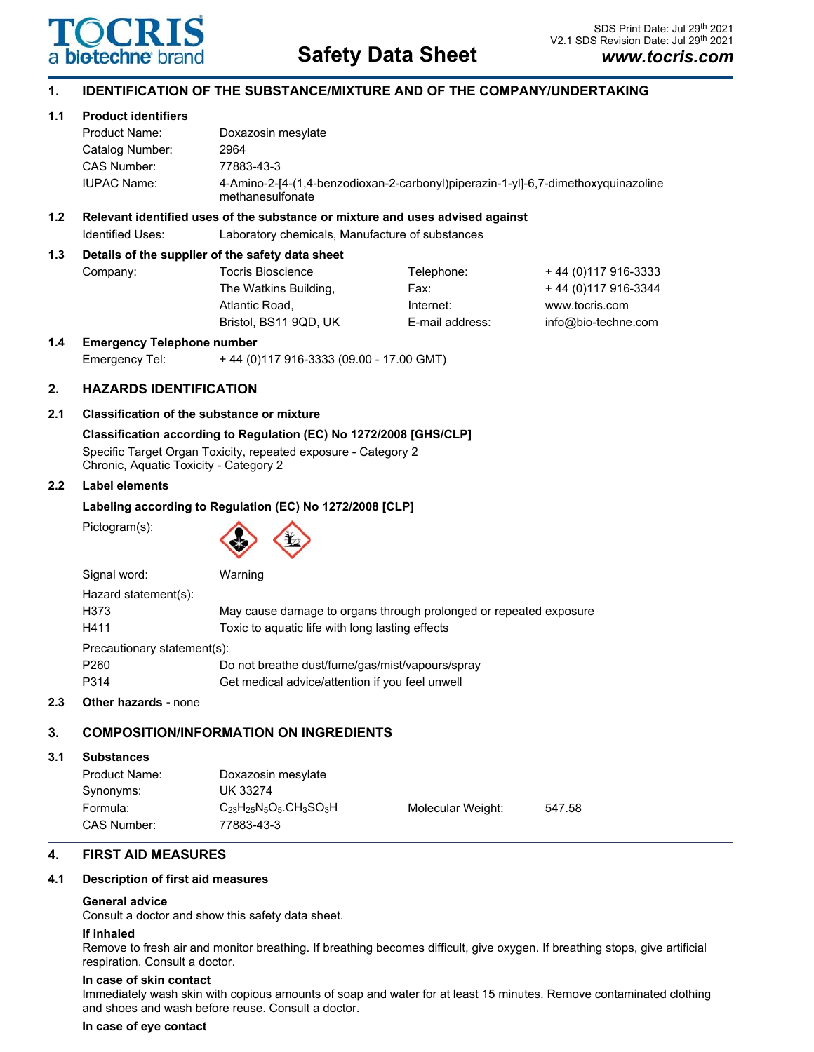

# **1. IDENTIFICATION OF THE SUBSTANCE/MIXTURE AND OF THE COMPANY/UNDERTAKING**

# **1.1 Product identifiers**

| Product Name:      | Doxazosin mesylate                                                                                    |
|--------------------|-------------------------------------------------------------------------------------------------------|
| Catalog Number:    | 2964                                                                                                  |
| CAS Number:        | 77883-43-3                                                                                            |
| <b>IUPAC Name:</b> | 4-Amino-2-[4-(1,4-benzodioxan-2-carbonyl)piperazin-1-yl]-6,7-dimethoxyquinazoline<br>methanesulfonate |

# **1.2 Relevant identified uses of the substance or mixture and uses advised against**

Identified Uses: Laboratory chemicals, Manufacture of substances

# **1.3 Details of the supplier of the safety data sheet**

| Company: | <b>Tocris Bioscience</b> | Telephone:      | +44 (0) 117 916-3333 |
|----------|--------------------------|-----------------|----------------------|
|          | The Watkins Building,    | Fax:            | +44 (0) 117 916-3344 |
|          | Atlantic Road.           | Internet:       | www.tocris.com       |
|          | Bristol. BS11 9QD. UK    | E-mail address: | info@bio-techne.com  |
|          |                          |                 |                      |

### **1.4 Emergency Telephone number**

| Emergency Tel: |  | +44 (0)117 916-3333 (09.00 - 17.00 GMT) |
|----------------|--|-----------------------------------------|
|                |  |                                         |

# **2. HAZARDS IDENTIFICATION**

# **2.1 Classification of the substance or mixture**

**Classification according to Regulation (EC) No 1272/2008 [GHS/CLP]** Specific Target Organ Toxicity, repeated exposure - Category 2 Chronic, Aquatic Toxicity - Category 2

# **2.2 Label elements**

# **Labeling according to Regulation (EC) No 1272/2008 [CLP]**

Pictogram(s):



| Signal word:                | Warning                                                           |  |  |  |
|-----------------------------|-------------------------------------------------------------------|--|--|--|
| Hazard statement(s):        |                                                                   |  |  |  |
| H373                        | May cause damage to organs through prolonged or repeated exposure |  |  |  |
| H411                        | Toxic to aquatic life with long lasting effects                   |  |  |  |
| Precautionary statement(s): |                                                                   |  |  |  |
| P <sub>260</sub>            | Do not breathe dust/fume/gas/mist/vapours/spray                   |  |  |  |
| P314                        | Get medical advice/attention if you feel unwell                   |  |  |  |
|                             |                                                                   |  |  |  |

# **2.3 Other hazards -** none

# **3. COMPOSITION/INFORMATION ON INGREDIENTS**

### **3.1 Substances**

| Product Name:<br>Synonyms: | Doxazosin mesylate<br>UK 33274                                        |                   |        |
|----------------------------|-----------------------------------------------------------------------|-------------------|--------|
| Formula:<br>CAS Number:    | $C_{23}H_{25}N_5O_5$ .CH <sub>3</sub> SO <sub>3</sub> H<br>77883-43-3 | Molecular Weight: | 547.58 |

# **4. FIRST AID MEASURES**

### **4.1 Description of first aid measures**

### **General advice**

Consult a doctor and show this safety data sheet.

### **If inhaled**

Remove to fresh air and monitor breathing. If breathing becomes difficult, give oxygen. If breathing stops, give artificial respiration. Consult a doctor.

### **In case of skin contact**

Immediately wash skin with copious amounts of soap and water for at least 15 minutes. Remove contaminated clothing and shoes and wash before reuse. Consult a doctor.

### **In case of eye contact**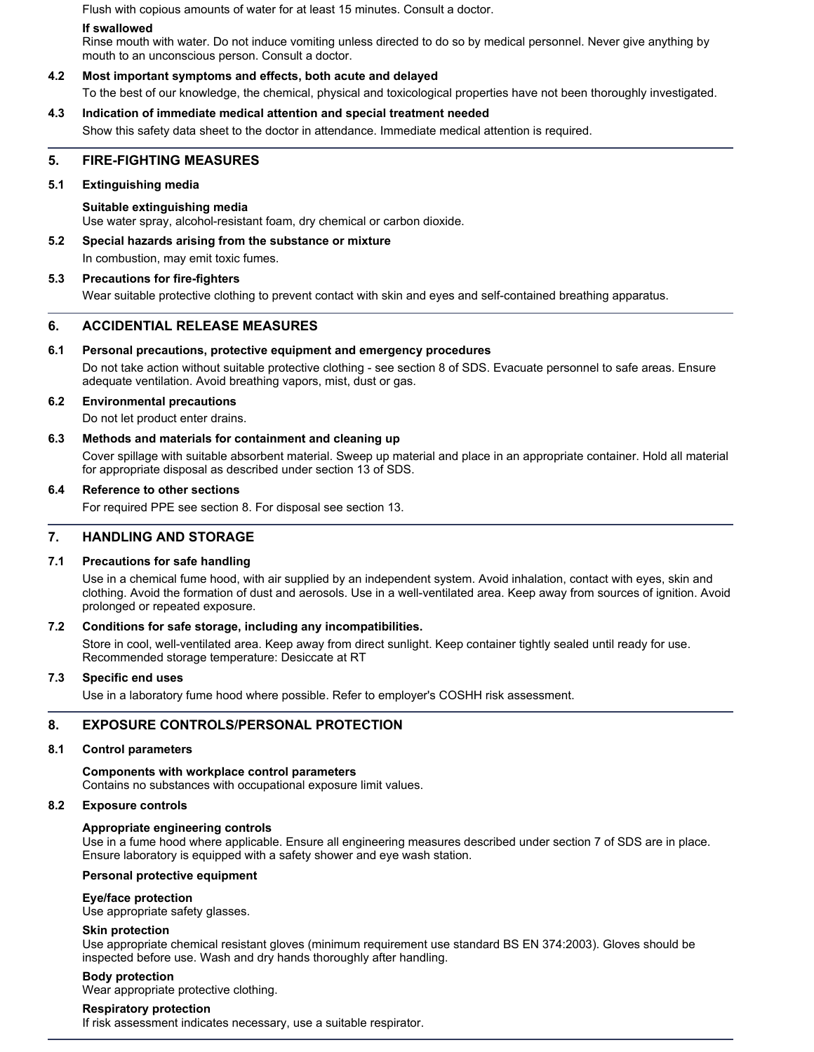Flush with copious amounts of water for at least 15 minutes. Consult a doctor.

#### **If swallowed**

Rinse mouth with water. Do not induce vomiting unless directed to do so by medical personnel. Never give anything by mouth to an unconscious person. Consult a doctor.

### **4.2 Most important symptoms and effects, both acute and delayed**

To the best of our knowledge, the chemical, physical and toxicological properties have not been thoroughly investigated.

# **4.3 Indication of immediate medical attention and special treatment needed**

Show this safety data sheet to the doctor in attendance. Immediate medical attention is required.

# **5. FIRE-FIGHTING MEASURES**

### **5.1 Extinguishing media**

**Suitable extinguishing media** Use water spray, alcohol-resistant foam, dry chemical or carbon dioxide.

**5.2 Special hazards arising from the substance or mixture**

In combustion, may emit toxic fumes.

### **5.3 Precautions for fire-fighters**

Wear suitable protective clothing to prevent contact with skin and eyes and self-contained breathing apparatus.

# **6. ACCIDENTIAL RELEASE MEASURES**

### **6.1 Personal precautions, protective equipment and emergency procedures**

Do not take action without suitable protective clothing - see section 8 of SDS. Evacuate personnel to safe areas. Ensure adequate ventilation. Avoid breathing vapors, mist, dust or gas.

### **6.2 Environmental precautions**

Do not let product enter drains.

### **6.3 Methods and materials for containment and cleaning up**

Cover spillage with suitable absorbent material. Sweep up material and place in an appropriate container. Hold all material for appropriate disposal as described under section 13 of SDS.

### **6.4 Reference to other sections**

For required PPE see section 8. For disposal see section 13.

### **7. HANDLING AND STORAGE**

### **7.1 Precautions for safe handling**

Use in a chemical fume hood, with air supplied by an independent system. Avoid inhalation, contact with eyes, skin and clothing. Avoid the formation of dust and aerosols. Use in a well-ventilated area. Keep away from sources of ignition. Avoid prolonged or repeated exposure.

### **7.2 Conditions for safe storage, including any incompatibilities.**

Store in cool, well-ventilated area. Keep away from direct sunlight. Keep container tightly sealed until ready for use. Recommended storage temperature: Desiccate at RT

### **7.3 Specific end uses**

Use in a laboratory fume hood where possible. Refer to employer's COSHH risk assessment.

# **8. EXPOSURE CONTROLS/PERSONAL PROTECTION**

#### **8.1 Control parameters**

**Components with workplace control parameters** Contains no substances with occupational exposure limit values.

#### **8.2 Exposure controls**

### **Appropriate engineering controls**

Use in a fume hood where applicable. Ensure all engineering measures described under section 7 of SDS are in place. Ensure laboratory is equipped with a safety shower and eye wash station.

### **Personal protective equipment**

### **Eye/face protection**

Use appropriate safety glasses.

#### **Skin protection**

Use appropriate chemical resistant gloves (minimum requirement use standard BS EN 374:2003). Gloves should be inspected before use. Wash and dry hands thoroughly after handling.

### **Body protection**

Wear appropriate protective clothing.

#### **Respiratory protection**

If risk assessment indicates necessary, use a suitable respirator.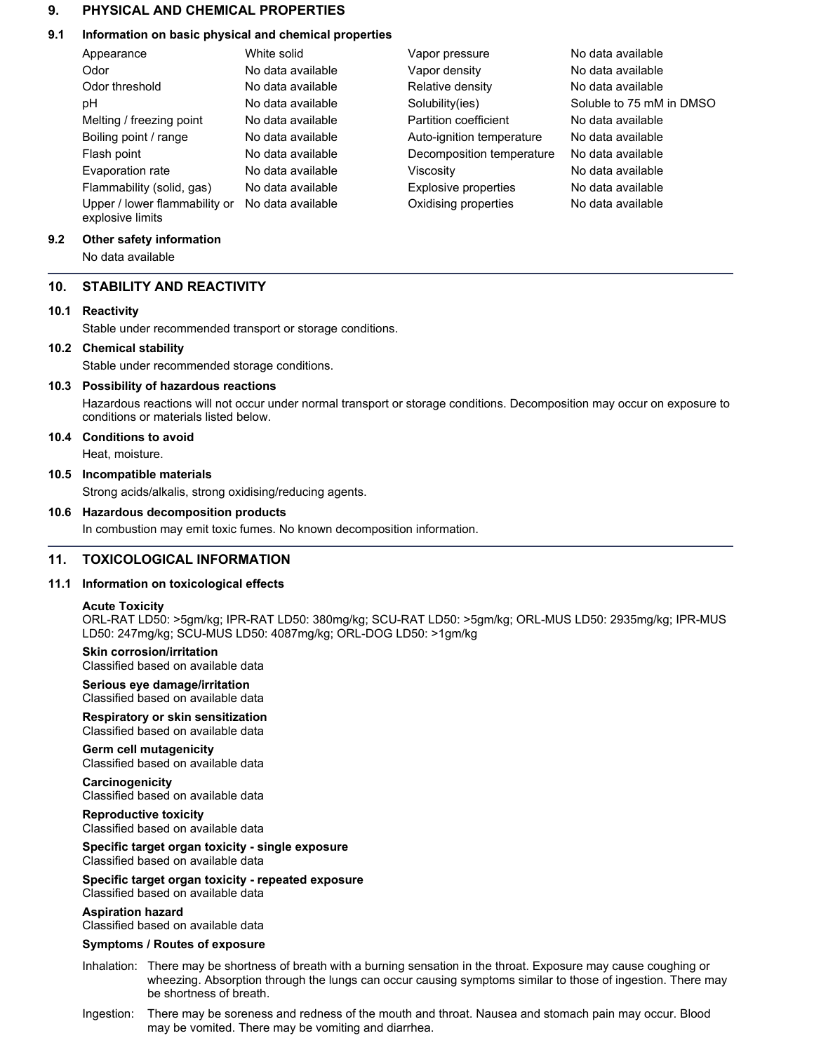# **9. PHYSICAL AND CHEMICAL PROPERTIES**

# **9.1 Information on basic physical and chemical properties**

| Appearance                                        | White solid       | Vapor pressure              | No data available        |
|---------------------------------------------------|-------------------|-----------------------------|--------------------------|
| Odor                                              | No data available | Vapor density               | No data available        |
| Odor threshold                                    | No data available | Relative density            | No data available        |
| рH                                                | No data available | Solubility(ies)             | Soluble to 75 mM in DMSO |
| Melting / freezing point                          | No data available | Partition coefficient       | No data available        |
| Boiling point / range                             | No data available | Auto-ignition temperature   | No data available        |
| Flash point                                       | No data available | Decomposition temperature   | No data available        |
| Evaporation rate                                  | No data available | Viscosity                   | No data available        |
| Flammability (solid, gas)                         | No data available | <b>Explosive properties</b> | No data available        |
| Upper / lower flammability or<br>explosive limits | No data available | Oxidising properties        | No data available        |

# **9.2 Other safety information**

No data available

# **10. STABILITY AND REACTIVITY**

# **10.1 Reactivity**

Stable under recommended transport or storage conditions.

# **10.2 Chemical stability**

Stable under recommended storage conditions.

# **10.3 Possibility of hazardous reactions**

Hazardous reactions will not occur under normal transport or storage conditions. Decomposition may occur on exposure to conditions or materials listed below.

# **10.4 Conditions to avoid**

Heat, moisture.

# **10.5 Incompatible materials**

Strong acids/alkalis, strong oxidising/reducing agents.

# **10.6 Hazardous decomposition products**

In combustion may emit toxic fumes. No known decomposition information.

# **11. TOXICOLOGICAL INFORMATION**

# **11.1 Information on toxicological effects**

### **Acute Toxicity**

ORL-RAT LD50: >5gm/kg; IPR-RAT LD50: 380mg/kg; SCU-RAT LD50: >5gm/kg; ORL-MUS LD50: 2935mg/kg; IPR-MUS LD50: 247mg/kg; SCU-MUS LD50: 4087mg/kg; ORL-DOG LD50: >1gm/kg

# **Skin corrosion/irritation**

Classified based on available data

#### **Serious eye damage/irritation** Classified based on available data

**Respiratory or skin sensitization** Classified based on available data

# **Germ cell mutagenicity**

Classified based on available data

**Carcinogenicity** Classified based on available data

**Reproductive toxicity** Classified based on available data

**Specific target organ toxicity - single exposure** Classified based on available data

#### **Specific target organ toxicity - repeated exposure** Classified based on available data

**Aspiration hazard**

Classified based on available data

# **Symptoms / Routes of exposure**

- Inhalation: There may be shortness of breath with a burning sensation in the throat. Exposure may cause coughing or wheezing. Absorption through the lungs can occur causing symptoms similar to those of ingestion. There may be shortness of breath.
- Ingestion: There may be soreness and redness of the mouth and throat. Nausea and stomach pain may occur. Blood may be vomited. There may be vomiting and diarrhea.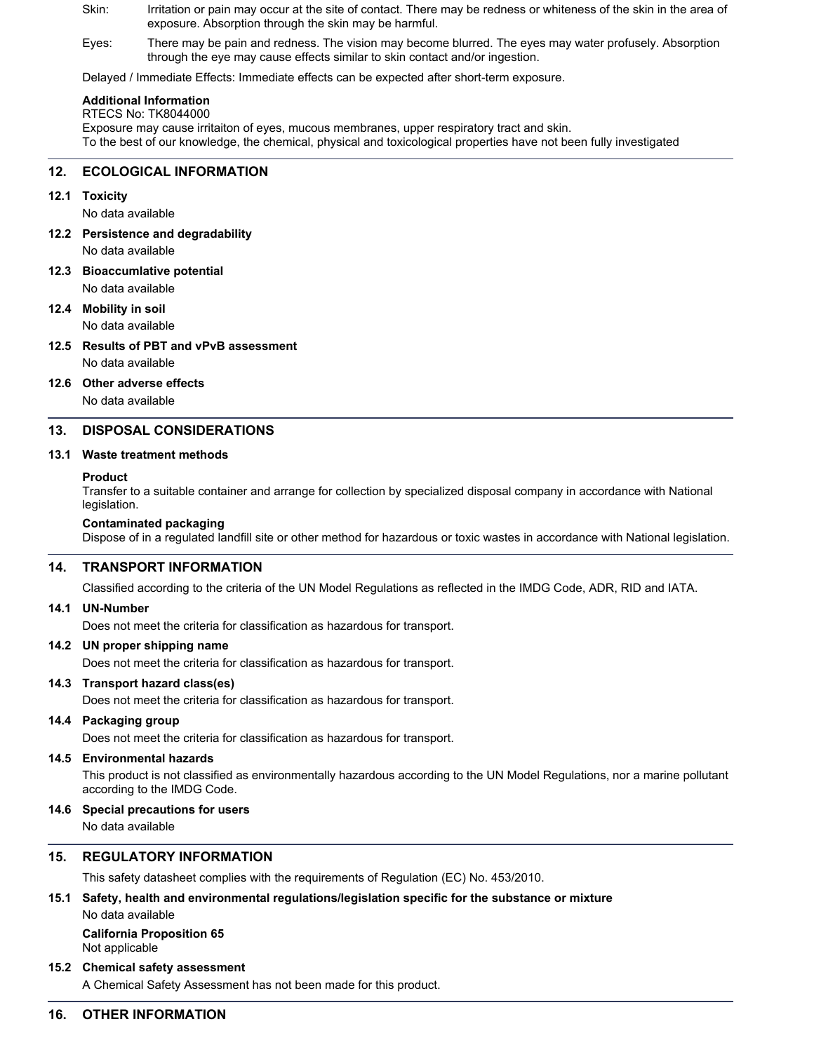- Skin: Irritation or pain may occur at the site of contact. There may be redness or whiteness of the skin in the area of exposure. Absorption through the skin may be harmful.
- Eyes: There may be pain and redness. The vision may become blurred. The eyes may water profusely. Absorption through the eye may cause effects similar to skin contact and/or ingestion.

Delayed / Immediate Effects: Immediate effects can be expected after short-term exposure.

### **Additional Information**

RTECS No: TK8044000

Exposure may cause irritaiton of eyes, mucous membranes, upper respiratory tract and skin. To the best of our knowledge, the chemical, physical and toxicological properties have not been fully investigated

# **12. ECOLOGICAL INFORMATION**

# **12.1 Toxicity**

No data available

- **12.2 Persistence and degradability** No data available
- **12.3 Bioaccumlative potential** No data available

### **12.4 Mobility in soil** No data available

- **12.5 Results of PBT and vPvB assessment**
	- No data available

**12.6 Other adverse effects**

No data available

# **13. DISPOSAL CONSIDERATIONS**

### **13.1 Waste treatment methods**

### **Product**

Transfer to a suitable container and arrange for collection by specialized disposal company in accordance with National legislation.

### **Contaminated packaging**

Dispose of in a regulated landfill site or other method for hazardous or toxic wastes in accordance with National legislation.

# **14. TRANSPORT INFORMATION**

Classified according to the criteria of the UN Model Regulations as reflected in the IMDG Code, ADR, RID and IATA.

# **14.1 UN-Number**

Does not meet the criteria for classification as hazardous for transport.

# **14.2 UN proper shipping name**

Does not meet the criteria for classification as hazardous for transport.

# **14.3 Transport hazard class(es)**

Does not meet the criteria for classification as hazardous for transport.

# **14.4 Packaging group**

Does not meet the criteria for classification as hazardous for transport.

### **14.5 Environmental hazards**

This product is not classified as environmentally hazardous according to the UN Model Regulations, nor a marine pollutant according to the IMDG Code.

### **14.6 Special precautions for users**

No data available

# **15. REGULATORY INFORMATION**

This safety datasheet complies with the requirements of Regulation (EC) No. 453/2010.

# **15.1 Safety, health and environmental regulations/legislation specific for the substance or mixture**

No data available **California Proposition 65**

# Not applicable

# **15.2 Chemical safety assessment**

A Chemical Safety Assessment has not been made for this product.

# **16. OTHER INFORMATION**